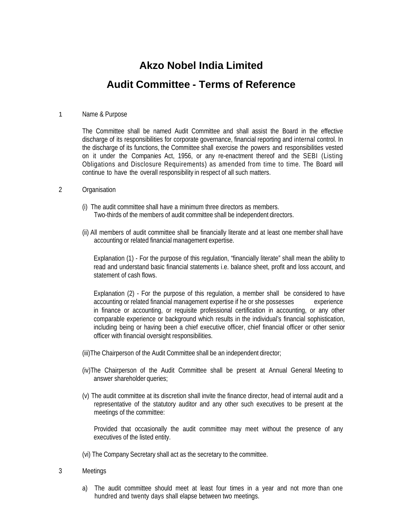## **Akzo Nobel India Limited Audit Committee - Terms of Reference**

## 1 Name & Purpose

The Committee shall be named Audit Committee and shall assist the Board in the effective discharge of its responsibilities for corporate governance, financial reporting and internal control. In the discharge of its functions, the Committee shall exercise the powers and responsibilities vested on it under the Companies Act, 1956, or any re-enactment thereof and the SEBI (Listing Obligations and Disclosure Requirements) as amended from time to time. The Board will continue to have the overall responsibility in respect of all such matters.

## 2 Organisation

- (i) The audit committee shall have a minimum three directors as members. Two-thirds of the members of audit committee shall be independent directors.
- (ii) All members of audit committee shall be financially literate and at least one member shall have accounting or related financial management expertise.

Explanation (1) - For the purpose of this regulation, "financially literate" shall mean the ability to read and understand basic financial statements i.e. balance sheet, profit and loss account, and statement of cash flows.

Explanation (2) - For the purpose of this regulation, a member shall be considered to have accounting or related financial management expertise if he or she possesses experience in finance or accounting, or requisite professional certification in accounting, or any other comparable experience or background which results in the individual's financial sophistication, including being or having been a chief executive officer, chief financial officer or other senior officer with financial oversight responsibilities.

- (iii)The Chairperson of the Audit Committee shall be an independent director;
- (iv)The Chairperson of the Audit Committee shall be present at Annual General Meeting to answer shareholder queries;
- (v) The audit committee at its discretion shall invite the finance director, head of internal audit and a representative of the statutory auditor and any other such executives to be present at the meetings of the committee:

Provided that occasionally the audit committee may meet without the presence of any executives of the listed entity.

(vi) The Company Secretary shall act as the secretary to the committee.

- 3 Meetings
	- a) The audit committee should meet at least four times in a year and not more than one hundred and twenty days shall elapse between two meetings.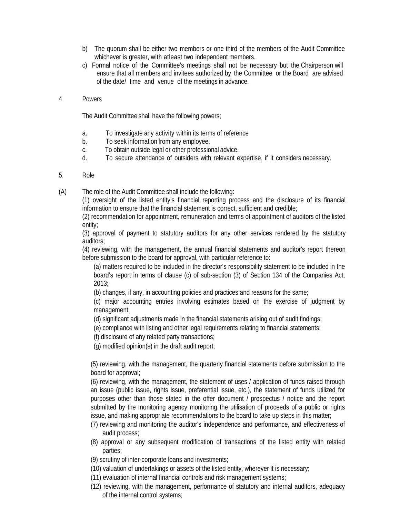- b) The quorum shall be either two members or one third of the members of the Audit Committee whichever is greater, with atleast two independent members.
- c) Formal notice of the Committee's meetings shall not be necessary but the Chairperson will ensure that all members and invitees authorized by the Committee or the Board are advised of the date/ time and venue of the meetings in advance.
- 4 Powers

The Audit Committee shall have the following powers;

- a. To investigate any activity within its terms of reference
- b. To seek information from any employee.
- c. To obtain outside legal or other professional advice.
- d. To secure attendance of outsiders with relevant expertise, if it considers necessary.
- 5. Role

(A) The role of the Audit Committee shall include the following:

(1) oversight of the listed entity's financial reporting process and the disclosure of its financial information to ensure that the financial statement is correct, sufficient and credible;

(2) recommendation for appointment, remuneration and terms of appointment of auditors of the listed entity;

(3) approval of payment to statutory auditors for any other services rendered by the statutory auditors;

(4) reviewing, with the management, the annual financial statements and auditor's report thereon before submission to the board for approval, with particular reference to:

(a) matters required to be included in the director's responsibility statement to be included in the board's report in terms of clause (c) of sub-section (3) of Section 134 of the Companies Act, 2013;

(b) changes, if any, in accounting policies and practices and reasons for the same;

(c) major accounting entries involving estimates based on the exercise of judgment by management;

(d) significant adjustments made in the financial statements arising out of audit findings;

(e) compliance with listing and other legal requirements relating to financial statements;

(f) disclosure of any related party transactions;

(g) modified opinion(s) in the draft audit report;

(5) reviewing, with the management, the quarterly financial statements before submission to the board for approval;

(6) reviewing, with the management, the statement of uses / application of funds raised through an issue (public issue, rights issue, preferential issue, etc.), the statement of funds utilized for purposes other than those stated in the offer document / prospectus / notice and the report submitted by the monitoring agency monitoring the utilisation of proceeds of a public or rights issue, and making appropriate recommendations to the board to take up steps in this matter;

- (7) reviewing and monitoring the auditor's independence and performance, and effectiveness of audit process;
- (8) approval or any subsequent modification of transactions of the listed entity with related parties;
- (9) scrutiny of inter-corporate loans and investments;
- (10) valuation of undertakings or assets of the listed entity, wherever it is necessary;
- (11) evaluation of internal financial controls and risk management systems;
- (12) reviewing, with the management, performance of statutory and internal auditors, adequacy of the internal control systems;